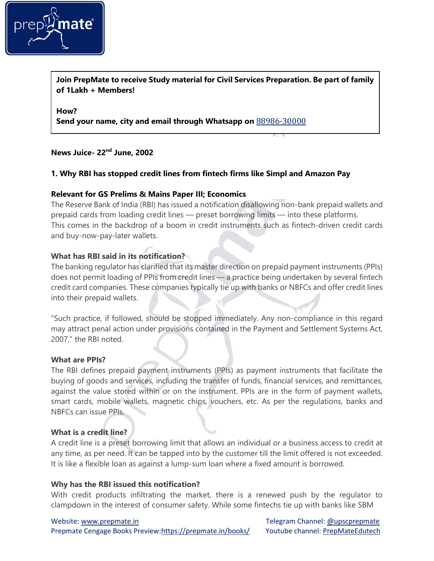

**Join PrepMate to receive Study material for Civil Services Preparation. Be part of family of 1Lakh + Members!**

**How?**

**Send your name, city and email through Whatsapp on** 88986-30000

## **News Juice- 22nd June, 2002**

## **1. Why RBI has stopped credit lines from fintech firms like Simpl and Amazon Pay**

### **Relevant for GS Prelims & Mains Paper III; Economics**

The Reserve Bank of India (RBI) has issued a notification disallowing non-bank prepaid wallets and prepaid cards from loading credit lines — preset borrowing limits — into these platforms. This comes in the backdrop of a boom in credit instruments such as fintech-driven credit cards and buy-now-pay-later wallets.

## **What has RBI said in its notification?**

The banking regulator has clarified that its master direction on prepaid payment instruments (PPIs) does not permit loading of PPIs from credit lines — a practice being undertaken by several fintech credit card companies. These companies typically tie up with banks or NBFCs and offer credit lines into their prepaid wallets.

"Such practice, if followed, should be stopped immediately. Any non-compliance in this regard may attract penal action under provisions contained in the Payment and Settlement Systems Act, 2007," the RBI noted.

#### **What are PPIs?**

The RBI defines prepaid payment instruments (PPIs) as payment instruments that facilitate the buying of goods and services, including the transfer of funds, financial services, and remittances, against the value stored within or on the instrument. PPIs are in the form of payment wallets, smart cards, mobile wallets, magnetic chips, vouchers, etc. As per the regulations, banks and NBFCs can issue PPIs.

### **What is a credit line?**

A credit line is a preset borrowing limit that allows an individual or a business access to credit at any time, as per need. It can be tapped into by the customer till the limit offered is not exceeded. It is like a flexible loan as against a lump-sum loan where a fixed amount is borrowed.

### **Why has the RBI issued this notification?**

With credit products infiltrating the market, there is a renewed push by the regulator to clampdown in the interest of consumer safety. While some fintechs tie up with banks like SBM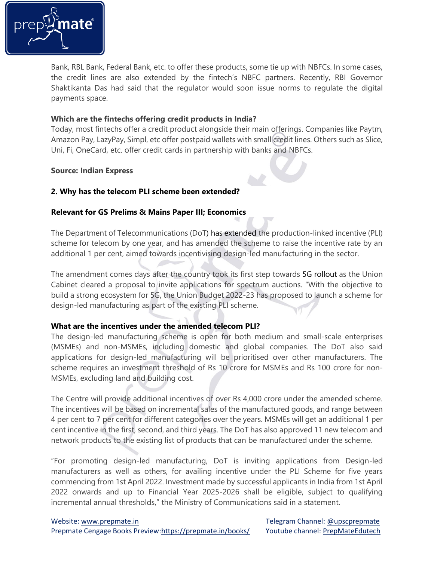

Bank, RBL Bank, Federal Bank, etc. to offer these products, some tie up with NBFCs. In some cases, the credit lines are also extended by the fintech's NBFC partners. Recently, RBI Governor Shaktikanta Das had said that the regulator would soon issue norms to regulate the digital payments space.

## **Which are the fintechs offering credit products in India?**

Today, most fintechs offer a credit product alongside their main offerings. Companies like Paytm, Amazon Pay, LazyPay, Simpl, etc offer postpaid wallets with small credit lines. Others such as Slice, Uni, Fi, OneCard, etc. offer credit cards in partnership with banks and NBFCs.

#### **Source: Indian Express**

## **2. Why has the telecom PLI scheme been extended?**

## **Relevant for GS Prelims & Mains Paper III; Economics**

The Department of Telecommunications (DoT) has extended the production-linked incentive (PLI) scheme for telecom by one year, and has amended the scheme to raise the incentive rate by an additional 1 per cent, aimed towards incentivising design-led manufacturing in the sector.

The amendment comes days after the country took its first step towards 5G [rollout](https://indianexpress.com/article/technology/5g-deployment-aug-sept-20-25-cities-towns-year-end-vaishnaw-7977287/) as the Union Cabinet cleared a proposal to invite applications for spectrum auctions. "With the objective to build a strong ecosystem for 5G, the Union Budget 2022-23 has proposed to launch a scheme for design-led manufacturing as part of the existing PLI scheme.

### **What are the incentives under the amended telecom PLI?**

The design-led manufacturing scheme is open for both medium and small-scale enterprises (MSMEs) and non-MSMEs, including domestic and global companies. The DoT also said applications for design-led manufacturing will be prioritised over other manufacturers. The scheme requires an investment threshold of Rs 10 crore for MSMEs and Rs 100 crore for non-MSMEs, excluding land and building cost.

The Centre will provide additional incentives of over Rs 4,000 crore under the amended scheme. The incentives will be based on incremental sales of the manufactured goods, and range between 4 per cent to 7 per cent for different categories over the years. MSMEs will get an additional 1 per cent incentive in the first, second, and third years. The DoT has also approved 11 new telecom and network products to the existing list of products that can be manufactured under the scheme.

"For promoting design-led manufacturing, DoT is inviting applications from Design-led manufacturers as well as others, for availing incentive under the PLI Scheme for five years commencing from 1st April 2022. Investment made by successful applicants in India from 1st April 2022 onwards and up to Financial Year 2025-2026 shall be eligible, subject to qualifying incremental annual thresholds," the Ministry of Communications said in a statement.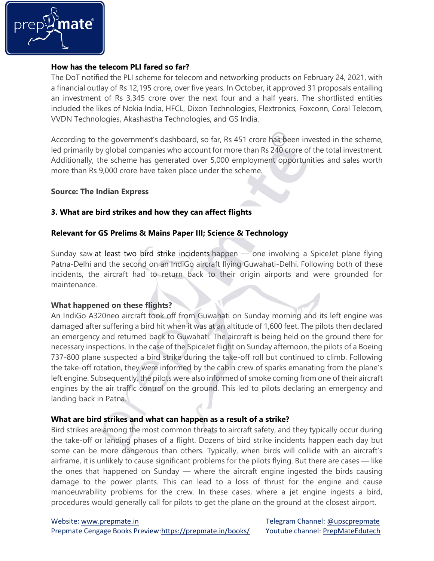

## **How has the telecom PLI fared so far?**

The DoT notified the PLI scheme for telecom and networking products on February 24, 2021, with a financial outlay of Rs 12,195 crore, over five years. In October, it approved 31 proposals entailing an investment of Rs 3,345 crore over the next four and a half years. The shortlisted entities included the likes of Nokia India, HFCL, Dixon Technologies, Flextronics, Foxconn, Coral Telecom, VVDN Technologies, Akashastha Technologies, and GS India.

According to the government's dashboard, so far, Rs 451 crore has been invested in the scheme, led primarily by global companies who account for more than Rs 240 crore of the total investment. Additionally, the scheme has generated over 5,000 employment opportunities and sales worth more than Rs 9,000 crore have taken place under the scheme.

## **Source: The Indian Express**

## **3. What are bird strikes and how they can affect flights**

### **Relevant for GS Prelims & Mains Paper III; Science & Technology**

Sunday saw at least two bird strike incidents happen — one involving a SpiceJet plane flying Patna-Delhi and the second on an IndiGo aircraft flying Guwahati-Delhi. Following both of these incidents, the aircraft had to return back to their origin airports and were grounded for maintenance.

### **What happened on these flights?**

An IndiGo A320neo aircraft took off from Guwahati on Sunday morning and its left engine was damaged after suffering a bird hit when it was at an altitude of 1,600 feet. The pilots then declared an emergency and returned back to Guwahati. The aircraft is being held on the ground there for necessary inspections. In the case of the SpiceJet flight on Sunday afternoon, the pilots of a Boeing 737-800 plane suspected a bird strike during the take-off roll but continued to climb. Following the take-off rotation, they were informed by the cabin crew of sparks emanating from the plane's left engine. Subsequently, the pilots were also informed of smoke coming from one of their aircraft engines by the air traffic control on the ground. This led to pilots declaring an emergency and landing back in Patna.

### **What are bird strikes and what can happen as a result of a strike?**

Bird strikes are among the most common threats to aircraft safety, and they typically occur during the take-off or landing phases of a flight. Dozens of bird strike incidents happen each day but some can be more dangerous than others. Typically, when birds will collide with an aircraft's airframe, it is unlikely to cause significant problems for the pilots flying. But there are cases — like the ones that happened on Sunday — where the aircraft engine ingested the birds causing damage to the power plants. This can lead to a loss of thrust for the engine and cause manoeuvrability problems for the crew. In these cases, where a jet engine ingests a bird, procedures would generally call for pilots to get the plane on the ground at the closest airport.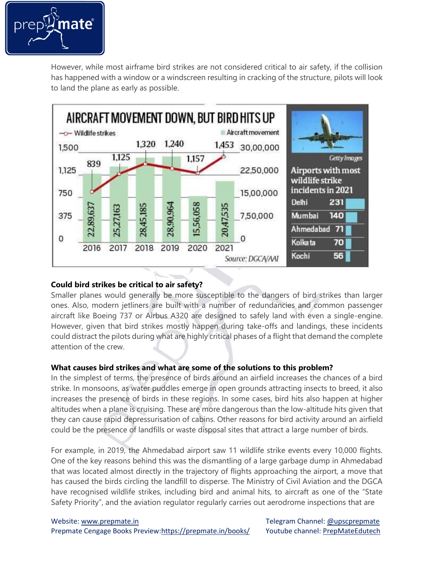

However, while most airframe bird strikes are not considered critical to air safety, if the collision has happened with a window or a windscreen resulting in cracking of the structure, pilots will look to land the plane as early as possible.



## **Could bird strikes be critical to air safety?**

Smaller planes would generally be more susceptible to the dangers of bird strikes than larger ones. Also, modern jetliners are built with a number of redundancies and common passenger aircraft like Boeing 737 or Airbus A320 are designed to safely land with even a single-engine. However, given that bird strikes mostly happen during take-offs and landings, these incidents could distract the pilots during what are highly critical phases of a flight that demand the complete attention of the crew.

## **What causes bird strikes and what are some of the solutions to this problem?**

In the simplest of terms, the presence of birds around an airfield increases the chances of a bird strike. In monsoons, as water puddles emerge in open grounds attracting insects to breed, it also increases the presence of birds in these regions. In some cases, bird hits also happen at higher altitudes when a plane is cruising. These are more dangerous than the low-altitude hits given that they can cause rapid depressurisation of cabins. Other reasons for bird activity around an airfield could be the presence of landfills or waste disposal sites that attract a large number of birds.

For example, in 2019, the Ahmedabad airport saw 11 wildlife strike events every 10,000 flights. One of the key reasons behind this was the dismantling of a large garbage dump in Ahmedabad that was located almost directly in the trajectory of flights approaching the airport, a move that has caused the birds circling the landfill to disperse. The Ministry of Civil Aviation and the DGCA have recognised wildlife strikes, including bird and animal hits, to aircraft as one of the "State Safety Priority", and the aviation regulator regularly carries out aerodrome inspections that are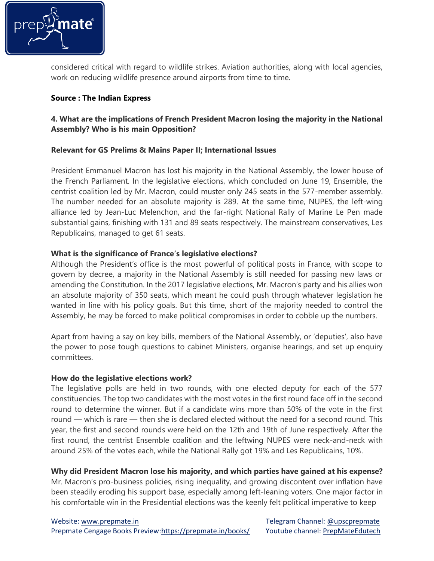

considered critical with regard to wildlife strikes. Aviation authorities, along with local agencies, work on reducing wildlife presence around airports from time to time.

## **Source : The Indian Express**

# **4. What are the implications of French President Macron losing the majority in the National Assembly? Who is his main Opposition?**

## **Relevant for GS Prelims & Mains Paper II; International Issues**

President Emmanuel Macron has lost his majority in the National Assembly, the lower house of the French Parliament. In the legislative elections, which concluded on June 19, Ensemble, the centrist coalition led by Mr. Macron, could muster only 245 seats in the 577-member assembly. The number needed for an absolute majority is 289. At the same time, NUPES, the left-wing alliance led by Jean-Luc Melenchon, and the far-right National Rally of Marine Le Pen made substantial gains, finishing with 131 and 89 seats respectively. The mainstream conservatives, Les Republicains, managed to get 61 seats.

## **What is the significance of France's legislative elections?**

Although the President's office is the most powerful of political posts in France, with scope to govern by decree, a majority in the National Assembly is still needed for passing new laws or amending the Constitution. In the 2017 legislative elections, Mr. Macron's party and his allies won an absolute majority of 350 seats, which meant he could push through whatever legislation he wanted in line with his policy goals. But this time, short of the majority needed to control the Assembly, he may be forced to make political compromises in order to cobble up the numbers.

Apart from having a say on key bills, members of the National Assembly, or 'deputies', also have the power to pose tough questions to cabinet Ministers, organise hearings, and set up enquiry committees.

### **How do the legislative elections work?**

The legislative polls are held in two rounds, with one elected deputy for each of the 577 constituencies. The top two candidates with the most votes in the first round face off in the second round to determine the winner. But if a candidate wins more than 50% of the vote in the first round — which is rare — then she is declared elected without the need for a second round. This year, the first and second rounds were held on the 12th and 19th of June respectively. After the first round, the centrist Ensemble coalition and the leftwing NUPES were neck-and-neck with around 25% of the votes each, while the National Rally got 19% and Les Republicains, 10%.

## **Why did President Macron lose his majority, and which parties have gained at his expense?**

Mr. Macron's pro-business policies, rising inequality, and growing discontent over inflation have been steadily eroding his support base, especially among left-leaning voters. One major factor in his comfortable win in the Presidential elections was the keenly felt political imperative to keep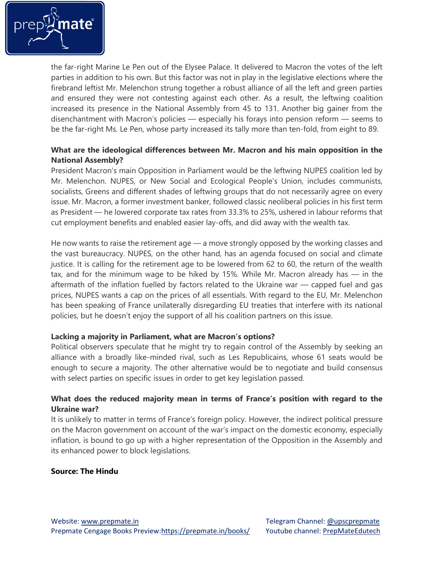

the far-right Marine Le Pen out of the Elysee Palace. It delivered to Macron the votes of the left parties in addition to his own. But this factor was not in play in the legislative elections where the firebrand leftist Mr. Melenchon strung together a robust alliance of all the left and green parties and ensured they were not contesting against each other. As a result, the leftwing coalition increased its presence in the National Assembly from 45 to 131. Another big gainer from the disenchantment with Macron's policies — especially his forays into pension reform — seems to be the far-right Ms. Le Pen, whose party increased its tally more than ten-fold, from eight to 89.

## **What are the ideological differences between Mr. Macron and his main opposition in the National Assembly?**

President Macron's main Opposition in Parliament would be the leftwing NUPES coalition led by Mr. Melenchon. NUPES, or New Social and Ecological People's Union, includes communists, socialists, Greens and different shades of leftwing groups that do not necessarily agree on every issue. Mr. Macron, a former investment banker, followed classic neoliberal policies in his first term as President — he lowered corporate tax rates from 33.3% to 25%, ushered in labour reforms that cut employment benefits and enabled easier lay-offs, and did away with the wealth tax.

He now wants to raise the retirement age — a move strongly opposed by the working classes and the vast bureaucracy. NUPES, on the other hand, has an agenda focused on social and climate justice. It is calling for the retirement age to be lowered from 62 to 60, the return of the wealth tax, and for the minimum wage to be hiked by 15%. While Mr. Macron already has — in the aftermath of the inflation fuelled by factors related to the Ukraine war — capped fuel and gas prices, NUPES wants a cap on the prices of all essentials. With regard to the EU, Mr. Melenchon has been speaking of France unilaterally disregarding EU treaties that interfere with its national policies, but he doesn't enjoy the support of all his coalition partners on this issue.

### **Lacking a majority in Parliament, what are Macron's options?**

Political observers speculate that he might try to regain control of the Assembly by seeking an alliance with a broadly like-minded rival, such as Les Republicains, whose 61 seats would be enough to secure a majority. The other alternative would be to negotiate and build consensus with select parties on specific issues in order to get key legislation passed.

## **What does the reduced majority mean in terms of France's position with regard to the Ukraine war?**

It is unlikely to matter in terms of France's foreign policy. However, the indirect political pressure on the Macron government on account of the war's impact on the domestic economy, especially inflation, is bound to go up with a higher representation of the Opposition in the Assembly and its enhanced power to block legislations.

### **Source: The Hindu**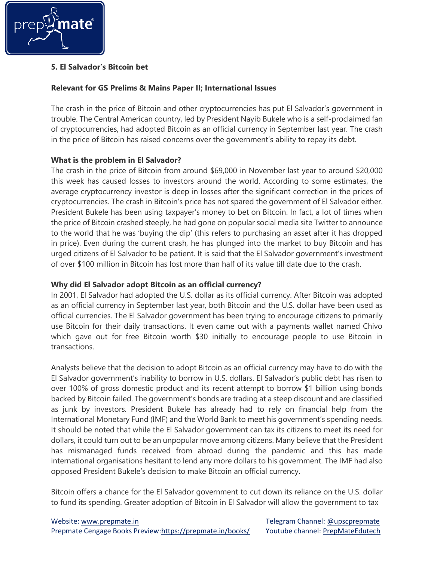

# **5. El Salvador's Bitcoin bet**

## **Relevant for GS Prelims & Mains Paper II; International Issues**

The crash in the price of Bitcoin and other cryptocurrencies has put El Salvador's government in trouble. The Central American country, led by President Nayib Bukele who is a self-proclaimed fan of cryptocurrencies, had adopted Bitcoin as an official currency in September last year. The crash in the price of Bitcoin has raised concerns over the government's ability to repay its debt.

## **What is the problem in El Salvador?**

The crash in the price of Bitcoin from around \$69,000 in November last year to around \$20,000 this week has caused losses to investors around the world. According to some estimates, the average cryptocurrency investor is deep in losses after the significant correction in the prices of cryptocurrencies. The crash in Bitcoin's price has not spared the government of El Salvador either. President Bukele has been using taxpayer's money to bet on Bitcoin. In fact, a lot of times when the price of Bitcoin crashed steeply, he had gone on popular social media site Twitter to announce to the world that he was 'buying the dip' (this refers to purchasing an asset after it has dropped in price). Even during the current crash, he has plunged into the market to buy Bitcoin and has urged citizens of El Salvador to be patient. It is said that the El Salvador government's investment of over \$100 million in Bitcoin has lost more than half of its value till date due to the crash.

## **Why did El Salvador adopt Bitcoin as an official currency?**

In 2001, El Salvador had adopted the U.S. dollar as its official currency. After Bitcoin was adopted as an official currency in September last year, both Bitcoin and the U.S. dollar have been used as official currencies. The El Salvador government has been trying to encourage citizens to primarily use Bitcoin for their daily transactions. It even came out with a payments wallet named Chivo which gave out for free Bitcoin worth \$30 initially to encourage people to use Bitcoin in transactions.

Analysts believe that the decision to adopt Bitcoin as an official currency may have to do with the El Salvador government's inability to borrow in U.S. dollars. El Salvador's public debt has risen to over 100% of gross domestic product and its recent attempt to borrow \$1 billion using bonds backed by Bitcoin failed. The government's bonds are trading at a steep discount and are classified as junk by investors. President Bukele has already had to rely on financial help from the International Monetary Fund (IMF) and the World Bank to meet his government's spending needs. It should be noted that while the El Salvador government can tax its citizens to meet its need for dollars, it could turn out to be an unpopular move among citizens. Many believe that the President has mismanaged funds received from abroad during the pandemic and this has made international organisations hesitant to lend any more dollars to his government. The IMF had also opposed President Bukele's decision to make Bitcoin an official currency.

Bitcoin offers a chance for the El Salvador government to cut down its reliance on the U.S. dollar to fund its spending. Greater adoption of Bitcoin in El Salvador will allow the government to tax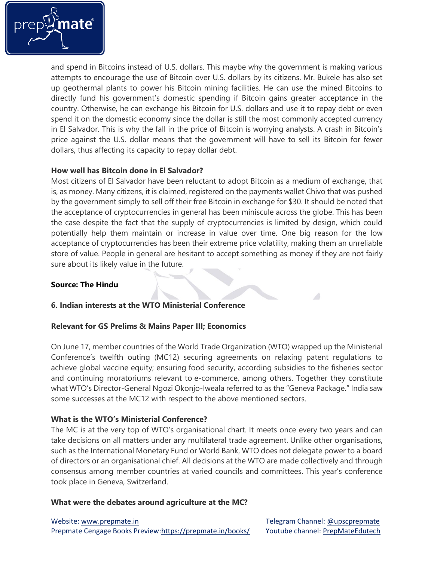

and spend in Bitcoins instead of U.S. dollars. This maybe why the government is making various attempts to encourage the use of Bitcoin over U.S. dollars by its citizens. Mr. Bukele has also set up geothermal plants to power his Bitcoin mining facilities. He can use the mined Bitcoins to directly fund his government's domestic spending if Bitcoin gains greater acceptance in the country. Otherwise, he can exchange his Bitcoin for U.S. dollars and use it to repay debt or even spend it on the domestic economy since the dollar is still the most commonly accepted currency in El Salvador. This is why the fall in the price of Bitcoin is worrying analysts. A crash in Bitcoin's price against the U.S. dollar means that the government will have to sell its Bitcoin for fewer dollars, thus affecting its capacity to repay dollar debt.

## **How well has Bitcoin done in El Salvador?**

Most citizens of El Salvador have been reluctant to adopt Bitcoin as a medium of exchange, that is, as money. Many citizens, it is claimed, registered on the payments wallet Chivo that was pushed by the government simply to sell off their free Bitcoin in exchange for \$30. It should be noted that the acceptance of cryptocurrencies in general has been miniscule across the globe. This has been the case despite the fact that the supply of cryptocurrencies is limited by design, which could potentially help them maintain or increase in value over time. One big reason for the low acceptance of cryptocurrencies has been their extreme price volatility, making them an unreliable store of value. People in general are hesitant to accept something as money if they are not fairly sure about its likely value in the future.

## **Source: The Hindu**

## **6. Indian interests at the WTO Ministerial Conference**

## **Relevant for GS Prelims & Mains Paper III; Economics**

On June 17, member countries of the World Trade Organization (WTO) wrapped up the Ministerial Conference's twelfth outing (MC12) securing agreements on relaxing patent regulations to achieve global vaccine equity; ensuring food security, according subsidies to the fisheries sector and continuing moratoriums relevant to e-commerce, among others. Together they constitute what WTO's Director-General Ngozi Okonjo-Iweala referred to as the "Geneva Package." India saw some successes at the MC12 with respect to the above mentioned sectors.

### **What is the WTO's Ministerial Conference?**

The MC is at the very top of WTO's organisational chart. It meets once every two years and can take decisions on all matters under any multilateral trade agreement. Unlike other organisations, such as the International Monetary Fund or World Bank, WTO does not delegate power to a board of directors or an organisational chief. All decisions at the WTO are made collectively and through consensus among member countries at varied councils and committees. This year's conference took place in Geneva, Switzerland.

### **What were the debates around agriculture at the MC?**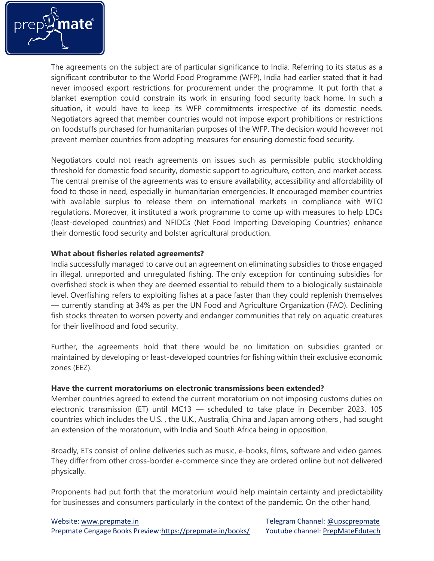

The agreements on the subject are of particular significance to India. Referring to its status as a significant contributor to the World Food Programme (WFP), India had earlier stated that it had never imposed export restrictions for procurement under the programme. It put forth that a blanket exemption could constrain its work in ensuring food security back home. In such a situation, it would have to keep its WFP commitments irrespective of its domestic needs. Negotiators agreed that member countries would not impose export prohibitions or restrictions on foodstuffs purchased for humanitarian purposes of the WFP. The decision would however not prevent member countries from adopting measures for ensuring domestic food security.

Negotiators could not reach agreements on issues such as permissible public stockholding threshold for domestic food security, domestic support to agriculture, cotton, and market access. The central premise of the agreements was to ensure availability, accessibility and affordability of food to those in need, especially in humanitarian emergencies. It encouraged member countries with available surplus to release them on international markets in compliance with WTO regulations. Moreover, it instituted a work programme to come up with measures to help LDCs (least-developed countries) and NFIDCs (Net Food Importing Developing Countries) enhance their domestic food security and bolster agricultural production.

### **What about fisheries related agreements?**

India successfully managed to carve out an agreement on eliminating subsidies to those engaged in illegal, unreported and unregulated fishing. The only exception for continuing subsidies for overfished stock is when they are deemed essential to rebuild them to a biologically sustainable level. Overfishing refers to exploiting fishes at a pace faster than they could replenish themselves — currently standing at 34% as per the UN Food and Agriculture Organization (FAO). Declining fish stocks threaten to worsen poverty and endanger communities that rely on aquatic creatures for their livelihood and food security.

Further, the agreements hold that there would be no limitation on subsidies granted or maintained by developing or least-developed countries for fishing within their exclusive economic zones (EEZ).

### **Have the current moratoriums on electronic transmissions been extended?**

Member countries agreed to extend the current moratorium on not imposing customs duties on electronic transmission (ET) until MC13 — scheduled to take place in December 2023. 105 countries which includes the U.S. , the U.K., Australia, China and Japan among others , had sought an extension of the moratorium, with India and South Africa being in opposition.

Broadly, ETs consist of online deliveries such as music, e-books, films, software and video games. They differ from other cross-border e-commerce since they are ordered online but not delivered physically.

Proponents had put forth that the moratorium would help maintain certainty and predictability for businesses and consumers particularly in the context of the pandemic. On the other hand,